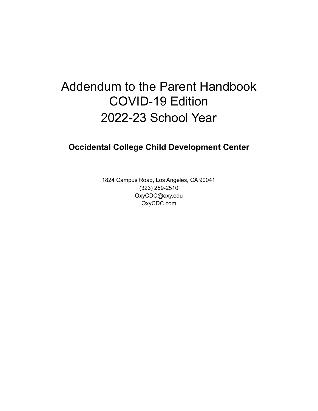# Addendum to the Parent Handbook COVID-19 Edition 2022-23 School Year

## **Occidental College Child Development Center**

1824 Campus Road, Los Angeles, CA 90041 (323) 259-2510 OxyCDC@oxy.edu OxyCDC.com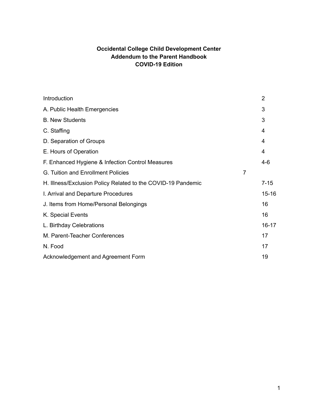## **Occidental College Child Development Center Addendum to the Parent Handbook COVID-19 Edition**

|                | 2              |
|----------------|----------------|
|                | 3              |
|                | 3              |
|                | $\overline{4}$ |
|                | 4              |
|                | 4              |
|                | $4 - 6$        |
| $\overline{7}$ |                |
|                | $7 - 15$       |
|                | $15 - 16$      |
|                | 16             |
|                | 16             |
|                | $16 - 17$      |
|                | 17             |
|                | 17             |
|                | 19             |
|                |                |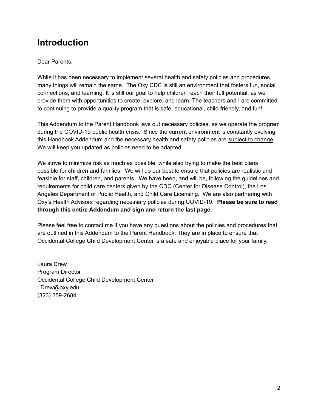## **Introduction**

#### Dear Parents,

While it has been necessary to implement several health and safety policies and procedures, many things will remain the same. The Oxy CDC is still an environment that fosters fun, social connections, and learning. It is still our goal to help children reach their full potential, as we provide them with opportunities to create, explore, and learn. The teachers and I are committed to continuing to provide a quality program that is safe, educational, child-friendly, and fun!

This Addendum to the Parent Handbook lays out necessary policies, as we operate the program during the COVID-19 public health crisis. Since the current environment is constantly evolving, this Handbook Addendum and the necessary health and safety policies are subject to change. We will keep you updated as policies need to be adapted.

We strive to minimize risk as much as possible, while also trying to make the best plans possible for children and families. We will do our best to ensure that policies are realistic and feasible for staff, children, and parents. We have been, and will be, following the guidelines and requirements for child care centers given by the CDC (Center for Disease Control), the Los Angeles Department of Public Health, and Child Care Licensing. We are also partnering with Oxy's Health Advisors regarding necessary policies during COVID-19. **Please be sure to read through this entire Addendum and sign and return the last page.**

Please feel free to contact me if you have any questions about the policies and procedures that are outlined in this Addendum to the Parent Handbook. They are in place to ensure that Occidental College Child Development Center is a safe and enjoyable place for your family.

Laura Drew Program Director Occidental College Child Development Center LDrew@oxy.edu (323) 259-2684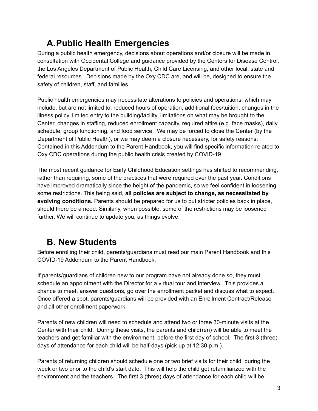# **A.Public Health Emergencies**

During a public health emergency, decisions about operations and/or closure will be made in consultation with Occidental College and guidance provided by the Centers for Disease Control, the Los Angeles Department of Public Health, Child Care Licensing, and other local, state and federal resources. Decisions made by the Oxy CDC are, and will be, designed to ensure the safety of children, staff, and families.

Public health emergencies may necessitate alterations to policies and operations, which may include, but are not limited to: reduced hours of operation, additional fees/tuition, changes in the illness policy, limited entry to the building/facility, limitations on what may be brought to the Center, changes in staffing, reduced enrollment capacity, required attire (e.g. face masks), daily schedule, group functioning, and food service. We may be forced to close the Center (by the Department of Public Health), or we may deem a closure necessary, for safety reasons. Contained in this Addendum to the Parent Handbook, you will find specific information related to Oxy CDC operations during the public health crisis created by COVID-19.

The most recent guidance for Early Childhood Education settings has shifted to recommending, rather than requiring, some of the practices that were required over the past year. Conditions have improved dramatically since the height of the pandemic, so we feel confident in loosening some restrictions. This being said, **all policies are subject to change, as necessitated by evolving conditions.** Parents should be prepared for us to put stricter policies back in place, should there be a need. Similarly, when possible, some of the restrictions may be loosened further. We will continue to update you, as things evolve.

# **B. New Students**

Before enrolling their child, parents/guardians must read our main Parent Handbook and this COVID-19 Addendum to the Parent Handbook.

If parents/guardians of children new to our program have not already done so, they must schedule an appointment with the Director for a virtual tour and interview. This provides a chance to meet, answer questions, go over the enrollment packet and discuss what to expect. Once offered a spot, parents/guardians will be provided with an Enrollment Contract/Release and all other enrollment paperwork.

Parents of new children will need to schedule and attend two or three 30-minute visits at the Center with their child. During these visits, the parents and child(ren) will be able to meet the teachers and get familiar with the environment, before the first day of school. The first 3 (three) days of attendance for each child will be half-days (pick up at 12:30 p.m.).

Parents of returning children should schedule one or two brief visits for their child, during the week or two prior to the child's start date. This will help the child get refamiliarized with the environment and the teachers. The first 3 (three) days of attendance for each child will be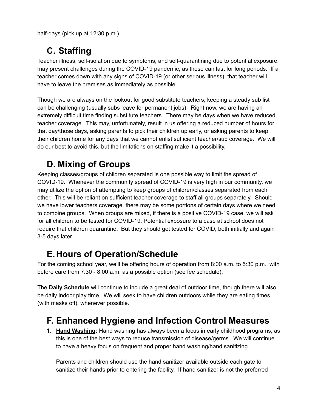half-days (pick up at 12:30 p.m.).

# **C. Staffing**

Teacher illness, self-isolation due to symptoms, and self-quarantining due to potential exposure, may present challenges during the COVID-19 pandemic, as these can last for long periods. If a teacher comes down with any signs of COVID-19 (or other serious illness), that teacher will have to leave the premises as immediately as possible.

Though we are always on the lookout for good substitute teachers, keeping a steady sub list can be challenging (usually subs leave for permanent jobs). Right now, we are having an extremely difficult time finding substitute teachers. There may be days when we have reduced teacher coverage. This may, unfortunately, result in us offering a reduced number of hours for that day/those days, asking parents to pick their children up early, or asking parents to keep their children home for any days that we cannot enlist sufficient teacher/sub coverage. We will do our best to avoid this, but the limitations on staffing make it a possibility.

# **D. Mixing of Groups**

Keeping classes/groups of children separated is one possible way to limit the spread of COVID-19. Whenever the community spread of COVID-19 is very high in our community, we may utilize the option of attempting to keep groups of children/classes separated from each other. This will be reliant on sufficient teacher coverage to staff all groups separately. Should we have lower teachers coverage, there may be some portions of certain days where we need to combine groups. When groups are mixed, if there is a positive COVID-19 case, we will ask for all children to be tested for COVID-19. Potential exposure to a case at school does not require that children quarantine. But they should get tested for COVID, both initially and again 3-5 days later.

# **E.Hours of Operation/Schedule**

For the coming school year, we'll be offering hours of operation from 8:00 a.m. to 5:30 p.m., with before care from 7:30 - 8:00 a.m. as a possible option (see fee schedule).

The **Daily Schedule** will continue to include a great deal of outdoor time, though there will also be daily indoor play time. We will seek to have children outdoors while they are eating times (with masks off), whenever possible.

# **F. Enhanced Hygiene and Infection Control Measures**

**1. Hand Washing:** Hand washing has always been a focus in early childhood programs, as this is one of the best ways to reduce transmission of disease/germs. We will continue to have a heavy focus on frequent and proper hand washing/hand sanitizing.

Parents and children should use the hand sanitizer available outside each gate to sanitize their hands prior to entering the facility. If hand sanitizer is not the preferred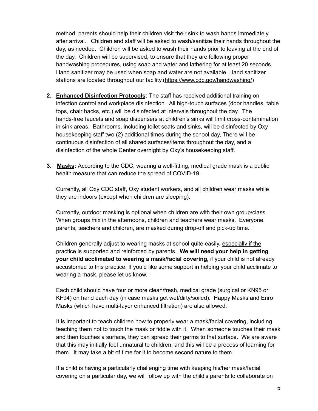method, parents should help their children visit their sink to wash hands immediately after arrival. Children and staff will be asked to wash/sanitize their hands throughout the day, as needed. Children will be asked to wash their hands prior to leaving at the end of the day. Children will be supervised, to ensure that they are following proper handwashing procedures, using soap and water and lathering for at least 20 seconds. Hand sanitizer may be used when soap and water are not available. Hand sanitizer stations are located throughout our facility.[\(https://www.cdc.gov/handwashing/](https://www.cdc.gov/handwashing/))

- **2. Enhanced Disinfection Protocols:** The staff has received additional training on infection control and workplace disinfection. All high-touch surfaces (door handles, table tops, chair backs, etc.) will be disinfected at intervals throughout the day. The hands-free faucets and soap dispensers at children's sinks will limit cross-contamination in sink areas. Bathrooms, including toilet seats and sinks, will be disinfected by Oxy housekeeping staff two (2) additional times during the school day, There will be continuous disinfection of all shared surfaces/items throughout the day, and a disinfection of the whole Center overnight by Oxy's housekeeping staff.
- **3. Masks:** According to the CDC, wearing a well-fitting, medical grade mask is a public health measure that can reduce the spread of COVID-19.

Currently, all Oxy CDC staff, Oxy student workers, and all children wear masks while they are indoors (except when children are sleeping).

Currently, outdoor masking is optional when children are with their own group/class. When groups mix in the afternoons, children and teachers wear masks. Everyone, parents, teachers and children, are masked during drop-off and pick-up time.

Children generally adjust to wearing masks at school quite easily, especially if the practice is supported and reinforced by parents. **We will need your help in getting your child acclimated to wearing a mask/facial covering,** if your child is not already accustomed to this practice. If you'd like some support in helping your child acclimate to wearing a mask, please let us know.

Each child should have four or more clean/fresh, medical grade (surgical or KN95 or KF94) on hand each day (in case masks get wet/dirty/soiled). Happy Masks and Enro Masks (which have multi-layer enhanced filtration) are also allowed.

It is important to teach children how to properly wear a mask/facial covering, including teaching them not to touch the mask or fiddle with it. When someone touches their mask and then touches a surface, they can spread their germs to that surface. We are aware that this may initially feel unnatural to children, and this will be a process of learning for them. It may take a bit of time for it to become second nature to them.

If a child is having a particularly challenging time with keeping his/her mask/facial covering on a particular day, we will follow up with the child's parents to collaborate on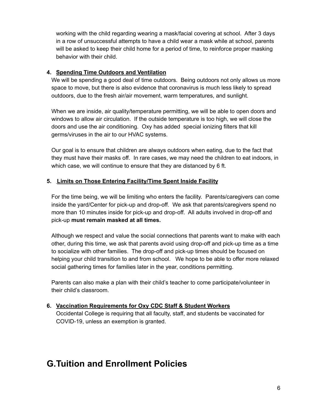working with the child regarding wearing a mask/facial covering at school. After 3 days in a row of unsuccessful attempts to have a child wear a mask while at school, parents will be asked to keep their child home for a period of time, to reinforce proper masking behavior with their child.

#### **4. Spending Time Outdoors and Ventilation**

We will be spending a good deal of time outdoors. Being outdoors not only allows us more space to move, but there is also evidence that coronavirus is much less likely to spread outdoors, due to the fresh air/air movement, warm temperatures, and sunlight.

When we are inside, air quality/temperature permitting, we will be able to open doors and windows to allow air circulation. If the outside temperature is too high, we will close the doors and use the air conditioning. Oxy has added special ionizing filters that kill germs/viruses in the air to our HVAC systems.

Our goal is to ensure that children are always outdoors when eating, due to the fact that they must have their masks off. In rare cases, we may need the children to eat indoors, in which case, we will continue to ensure that they are distanced by 6 ft.

## **5. Limits on Those Entering Facility/Time Spent Inside Facility**

For the time being, we will be limiting who enters the facility. Parents/caregivers can come inside the yard/Center for pick-up and drop-off. We ask that parents/caregivers spend no more than 10 minutes inside for pick-up and drop-off. All adults involved in drop-off and pick-up **must remain masked at all times.**

Although we respect and value the social connections that parents want to make with each other, during this time, we ask that parents avoid using drop-off and pick-up time as a time to socialize with other families. The drop-off and pick-up times should be focused on helping your child transition to and from school. We hope to be able to offer more relaxed social gathering times for families later in the year, conditions permitting.

Parents can also make a plan with their child's teacher to come participate/volunteer in their child's classroom.

#### **6. Vaccination Requirements for Oxy CDC Staff & Student Workers**

Occidental College is requiring that all faculty, staff, and students be vaccinated for COVID-19, unless an exemption is granted.

## **G.Tuition and Enrollment Policies**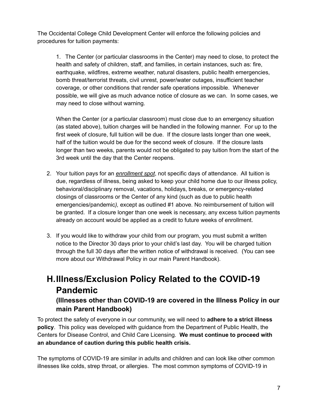The Occidental College Child Development Center will enforce the following policies and procedures for tuition payments:

1. The Center (or particular classrooms in the Center) may need to close, to protect the health and safety of children, staff, and families, in certain instances, such as: fire, earthquake, wildfires, extreme weather, natural disasters, public health emergencies, bomb threat/terrorist threats, civil unrest, power/water outages, insufficient teacher coverage, or other conditions that render safe operations impossible. Whenever possible, we will give as much advance notice of closure as we can. In some cases, we may need to close without warning.

When the Center (or a particular classroom) must close due to an emergency situation (as stated above), tuition charges will be handled in the following manner. For up to the first week of closure, full tuition will be due. If the closure lasts longer than one week, half of the tuition would be due for the second week of closure. If the closure lasts longer than two weeks, parents would not be obligated to pay tuition from the start of the 3rd week until the day that the Center reopens.

- 2. Your tuition pays for an *enrollment spot*, not specific days of attendance. All tuition is due, regardless of illness, being asked to keep your child home due to our illness policy, behavioral/disciplinary removal, vacations, holidays, breaks, or emergency-related closings of classrooms or the Center of any kind (such as due to public health emergencies/pandemic*),* except as outlined #1 above*.* No reimbursement of tuition will be granted. If a closure longer than one week is necessary, any excess tuition payments already on account would be applied as a credit to future weeks of enrollment.
- 3. If you would like to withdraw your child from our program, you must submit a written notice to the Director 30 days prior to your child's last day. You will be charged tuition through the full 30 days after the written notice of withdrawal is received. (You can see more about our Withdrawal Policy in our main Parent Handbook).

## **H.Illness/Exclusion Policy Related to the COVID-19 Pandemic (Illnesses other than COVID-19 are covered in the Illness Policy in our**

## **main Parent Handbook)**

To protect the safety of everyone in our community, we will need to **adhere to a strict illness policy**. This policy was developed with guidance from the Department of Public Health, the Centers for Disease Control, and Child Care Licensing. **We must continue to proceed with an abundance of caution during this public health crisis.**

The symptoms of COVID-19 are similar in adults and children and can look like other common illnesses like colds, strep throat, or allergies. The most common symptoms of COVID-19 in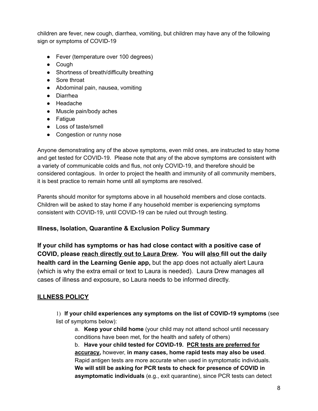children are fever, new cough, diarrhea, vomiting, but children may have any of the following sign or symptoms of COVID-19

- Fever (temperature over 100 degrees)
- Cough
- Shortness of breath/difficulty breathing
- Sore throat
- Abdominal pain, nausea, vomiting
- Diarrhea
- Headache
- Muscle pain/body aches
- Fatigue
- Loss of taste/smell
- Congestion or runny nose

Anyone demonstrating any of the above symptoms, even mild ones, are instructed to stay home and get tested for COVID-19. Please note that any of the above symptoms are consistent with a variety of communicable colds and flus, not only COVID-19, and therefore should be considered contagious. In order to project the health and immunity of all community members, it is best practice to remain home until all symptoms are resolved.

Parents should monitor for symptoms above in all household members and close contacts. Children will be asked to stay home if any household member is experiencing symptoms consistent with COVID-19, until COVID-19 can be ruled out through testing.

## **Illness, Isolation, Quarantine & Exclusion Policy Summary**

**If your child has symptoms or has had close contact with a positive case of COVID, please reach directly out to Laura Drew. You will also fill out the daily health card in the Learning Genie app,** but the app does not actually alert Laura (which is why the extra email or text to Laura is needed). Laura Drew manages all cases of illness and exposure, so Laura needs to be informed directly.

## **ILLNESS POLICY**

1) **If your child experiences any symptoms on the list of COVID-19 symptoms** (see list of symptoms below):

a. **Keep your child home** (your child may not attend school until necessary conditions have been met, for the health and safety of others)

b. **Have your child tested for COVID-19. PCR tests are preferred for accuracy,** however, **in many cases, home rapid tests may also be used**. Rapid antigen tests are more accurate when used in symptomatic individuals. **We will still be asking for PCR tests to check for presence of COVID in asymptomatic individuals** (e.g., exit quarantine), since PCR tests can detect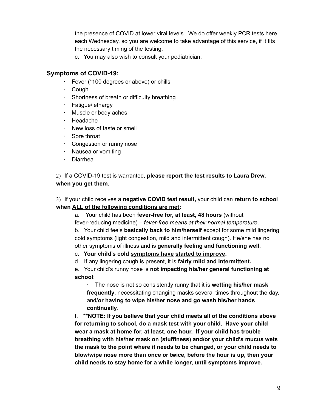the presence of COVID at lower viral levels. We do offer weekly PCR tests here each Wednesday, so you are welcome to take advantage of this service, if it fits the necessary timing of the testing.

c. You may also wish to consult your pediatrician.

#### **Symptoms of COVID-19:**

- Fever (\*100 degrees or above) or chills
- · Cough
- · Shortness of breath or difficulty breathing
- · Fatigue/lethargy
- · Muscle or body aches
- · Headache
- · New loss of taste or smell
- · Sore throat
- · Congestion or runny nose
- · Nausea or vomiting
- · Diarrhea

2) If a COVID-19 test is warranted, **please report the test results to Laura Drew, when you get them.**

3) If your child receives a **negative COVID test result,** your child can **return to school when ALL of the following conditions are met:**

a. Your child has been **fever-free for, at least, 48 hours** (without fever-reducing medicine) – *fever-free means at their normal temperature*. b. Your child feels **basically back to him/herself** except for some mild lingering cold symptoms (light congestion, mild and intermittent cough). He/she has no

other symptoms of illness and is **generally feeling and functioning well**.

c. **Your child's cold symptoms have started to improve.**

d. If any lingering cough is present, it is **fairly mild and intermittent.**

e. Your child's runny nose is **not impacting his/her general functioning at school**:

· The nose is not so consistently runny that it is **wetting his/her mask frequently**, necessitating changing masks several times throughout the day, and/**or having to wipe his/her nose and go wash his/her hands continually**.

f. **\*\*NOTE: If you believe that your child meets all of the conditions above for returning to school, do a mask test with your child. Have your child wear a mask at home for, at least, one hour. If your child has trouble breathing with his/her mask on (stuffiness) and/or your child's mucus wets the mask to the point where it needs to be changed, or your child needs to blow/wipe nose more than once or twice, before the hour is up, then your child needs to stay home for a while longer, until symptoms improve.**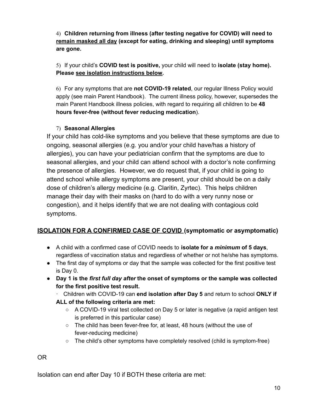4) **Children returning from illness (after testing negative for COVID) will need to remain masked all day (except for eating, drinking and sleeping) until symptoms are gone.**

5) If your child's **COVID test is positive,** your child will need to **isolate (stay home). Please see isolation instructions below.**

6) For any symptoms that are **not COVID-19 related**, our regular Illness Policy would apply (see main Parent Handbook). The current illness policy, however, supersedes the main Parent Handbook illness policies, with regard to requiring all children to be **48 hours fever-free (without fever reducing medication**).

## 7) **Seasonal Allergies**

If your child has cold-like symptoms and you believe that these symptoms are due to ongoing, seasonal allergies (e.g. you and/or your child have/has a history of allergies), you can have your pediatrician confirm that the symptoms are due to seasonal allergies, and your child can attend school with a doctor's note confirming the presence of allergies. However, we do request that, if your child is going to attend school while allergy symptoms are present, your child should be on a daily dose of children's allergy medicine (e.g. Claritin, Zyrtec). This helps children manage their day with their masks on (hard to do with a very runny nose or congestion), and it helps identify that we are not dealing with contagious cold symptoms.

## **ISOLATION FOR A CONFIRMED CASE OF COVID (symptomatic or asymptomatic)**

- A child with a confirmed case of COVID needs to **isolate for a** *minimum* **of 5 days**, regardless of vaccination status and regardless of whether or not he/she has symptoms.
- The first day of symptoms or day that the sample was collected for the first positive test is Day 0.
- **Day 1 is the** *first full day after* **the onset of symptoms or the sample was collected for the first positive test result.**

· Children with COVID-19 can **end isolation after Day 5** and return to school **ONLY if ALL of the following criteria are met:**

- A COVID-19 viral test collected on Day 5 or later is negative (a rapid antigen test is preferred in this particular case)
- The child has been fever-free for, at least, 48 hours (without the use of fever-reducing medicine)
- $\circ$  The child's other symptoms have completely resolved (child is symptom-free)

OR

Isolation can end after Day 10 if BOTH these criteria are met: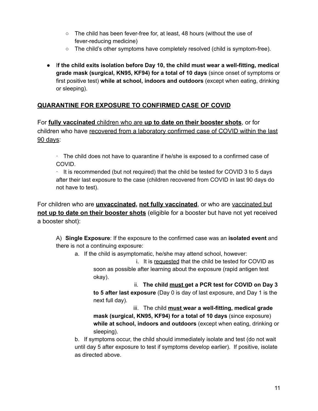- The child has been fever-free for, at least, 48 hours (without the use of fever-reducing medicine)
- $\circ$  The child's other symptoms have completely resolved (child is symptom-free).
- I**f the child exits isolation before Day 10, the child must wear a well-fitting, medical grade mask (surgical, KN95, KF94) for a total of 10 days** (since onset of symptoms or first positive test) **while at school, indoors and outdoors** (except when eating, drinking or sleeping).

## **QUARANTINE FOR EXPOSURE TO CONFIRMED CASE OF COVID**

For **fully vaccinated** children who are **up to date on their booster shots**, or for children who have recovered from a laboratory confirmed case of COVID within the last 90 days:

· The child does not have to quarantine if he/she is exposed to a confirmed case of COVID.

 $\cdot$  It is recommended (but not required) that the child be tested for COVID 3 to 5 days after their last exposure to the case (children recovered from COVID in last 90 days do not have to test).

For children who are **unvaccinated, not fully vaccinated**, or who are vaccinated but **not up to date on their booster shots** (eligible for a booster but have not yet received a booster shot):

A) **Single Exposure**: If the exposure to the confirmed case was an **isolated event** and there is not a continuing exposure:

a. If the child is asymptomatic, he/she may attend school, however:

i. It is requested that the child be tested for COVID as soon as possible after learning about the exposure (rapid antigen test okay).

ii. **The child must get a PCR test for COVID on Day 3 to 5 after last exposure** (Day 0 is day of last exposure, and Day 1 is the next full day).

iii. The child **must wear a well-fitting, medical grade mask (surgical, KN95, KF94) for a total of 10 days** (since exposure) **while at school, indoors and outdoors** (except when eating, drinking or sleeping).

b. If symptoms occur, the child should immediately isolate and test (do not wait until day 5 after exposure to test if symptoms develop earlier). If positive, isolate as directed above.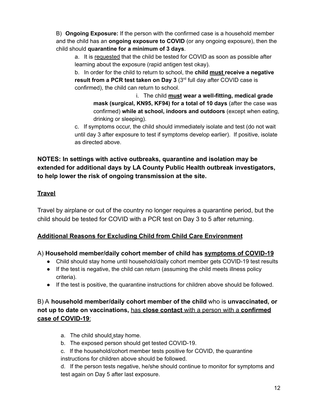B) **Ongoing Exposure:** If the person with the confirmed case is a household member and the child has an **ongoing exposure to COVID** (or any ongoing exposure), then the child should **quarantine for a minimum of 3 days**.

a. It is requested that the child be tested for COVID as soon as possible after learning about the exposure (rapid antigen test okay).

b. In order for the child to return to school, the **child must receive a negative result from a PCR test taken on Day 3** (3 rd full day after COVID case is confirmed), the child can return to school.

i. The child **must wear a well-fitting, medical grade mask (surgical, KN95, KF94) for a total of 10 days** (after the case was confirmed) **while at school, indoors and outdoors** (except when eating, drinking or sleeping).

c. If symptoms occur, the child should immediately isolate and test (do not wait until day 3 after exposure to test if symptoms develop earlier). If positive, isolate as directed above.

## **NOTES: In settings with active outbreaks, quarantine and isolation may be extended for additional days by LA County Public Health outbreak investigators, to help lower the risk of ongoing transmission at the site.**

## **Travel**

Travel by airplane or out of the country no longer requires a quarantine period, but the child should be tested for COVID with a PCR test on Day 3 to 5 after returning.

## **Additional Reasons for Excluding Child from Child Care Environment**

## A) **Household member/daily cohort member of child has symptoms of COVID-19**

- Child should stay home until household/daily cohort member gets COVID-19 test results
- If the test is negative, the child can return (assuming the child meets illness policy criteria).
- If the test is positive, the quarantine instructions for children above should be followed.

## B) A **household member/daily cohort member of the child** who is **unvaccinated, or not up to date on vaccinations,** has **close contact** with a person with a **confirmed case of COVID-19**:

- a. The child should stay home.
- b. The exposed person should get tested COVID-19.
- c. If the household/cohort member tests positive for COVID, the quarantine instructions for children above should be followed.

d. If the person tests negative, he/she should continue to monitor for symptoms and test again on Day 5 after last exposure.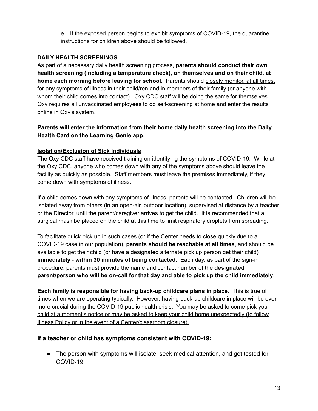e. If the exposed person begins to exhibit symptoms of COVID-19, the quarantine instructions for children above should be followed.

## **DAILY HEALTH SCREENINGS**

As part of a necessary daily health screening process, **parents should conduct their own health screening (including a temperature check), on themselves and on their child, at home each morning before leaving for school.** Parents should closely monitor, at all times, for any symptoms of illness in their child/ren and in members of their family (or anyone with whom their child comes into contact). Oxy CDC staff will be doing the same for themselves. Oxy requires all unvaccinated employees to do self-screening at home and enter the results online in Oxy's system.

## **Parents will enter the information from their home daily health screening into the Daily Health Card on the Learning Genie app**.

## **Isolation/Exclusion of Sick Individuals**

The Oxy CDC staff have received training on identifying the symptoms of COVID-19. While at the Oxy CDC, anyone who comes down with any of the symptoms above should leave the facility as quickly as possible. Staff members must leave the premises immediately, if they come down with symptoms of illness.

If a child comes down with any symptoms of illness, parents will be contacted. Children will be isolated away from others (in an open-air, outdoor location), supervised at distance by a teacher or the Director, until the parent/caregiver arrives to get the child. It is recommended that a surgical mask be placed on the child at this time to limit respiratory droplets from spreading.

To facilitate quick pick up in such cases (or if the Center needs to close quickly due to a COVID-19 case in our population), **parents should be reachable at all times**, and should be available to get their child (or have a designated alternate pick up person get their child) **immediately** - **within 30 minutes of being contacted**. Each day, as part of the sign-in procedure, parents must provide the name and contact number of the **designated parent/person who will be on-call for that day and able to pick up the child immediately**.

**Each family is responsible for having back-up childcare plans in place.** This is true of times when we are operating typically. However, having back-up childcare in place will be even more crucial during the COVID-19 public health crisis. You may be asked to come pick your child at a moment's notice or may be asked to keep your child home unexpectedly (to follow Illness Policy or in the event of a Center/classroom closure).

## **If a teacher or child has symptoms consistent with COVID-19:**

● The person with symptoms will isolate, seek medical attention, and get tested for COVID-19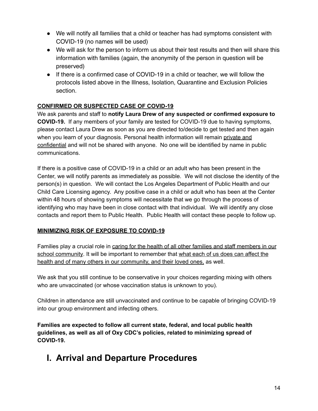- We will notify all families that a child or teacher has had symptoms consistent with COVID-19 (no names will be used)
- We will ask for the person to inform us about their test results and then will share this information with families (again, the anonymity of the person in question will be preserved)
- If there is a confirmed case of COVID-19 in a child or teacher, we will follow the protocols listed above in the Illness, Isolation, Quarantine and Exclusion Policies section.

## **CONFIRMED OR SUSPECTED CASE OF COVID-19**

We ask parents and staff to **notify Laura Drew of any suspected or confirmed exposure to COVID-19.** If any members of your family are tested for COVID-19 due to having symptoms, please contact Laura Drew as soon as you are directed to/decide to get tested and then again when you learn of your diagnosis. Personal health information will remain private and confidential and will not be shared with anyone. No one will be identified by name in public communications.

If there is a positive case of COVID-19 in a child or an adult who has been present in the Center, we will notify parents as immediately as possible. We will not disclose the identity of the person(s) in question. We will contact the Los Angeles Department of Public Health and our Child Care Licensing agency. Any positive case in a child or adult who has been at the Center within 48 hours of showing symptoms will necessitate that we go through the process of identifying who may have been in close contact with that individual. We will identify any close contacts and report them to Public Health. Public Health will contact these people to follow up.

#### **MINIMIZING RISK OF EXPOSURE TO COVID-19**

Families play a crucial role in caring for the health of all other families and staff members in our school community. It will be important to remember that what each of us does can affect the health and of many others in our community, and their loved ones, as well.

We ask that you still continue to be conservative in your choices regarding mixing with others who are unvaccinated (or whose vaccination status is unknown to you).

Children in attendance are still unvaccinated and continue to be capable of bringing COVID-19 into our group environment and infecting others.

**Families are expected to follow all current state, federal, and local public health guidelines, as well as all of Oxy CDC's policies, related to minimizing spread of COVID-19.**

# **I. Arrival and Departure Procedures**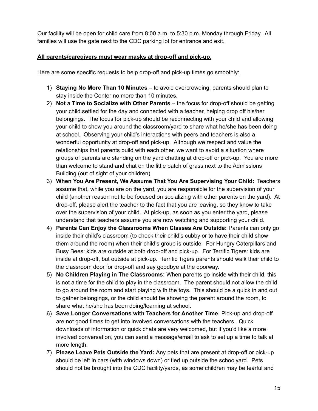Our facility will be open for child care from 8:00 a.m. to 5:30 p.m. Monday through Friday. All families will use the gate next to the CDC parking lot for entrance and exit.

#### **All parents/caregivers must wear masks at drop-off and pick-up**.

Here are some specific requests to help drop-off and pick-up times go smoothly:

- 1) **Staying No More Than 10 Minutes** to avoid overcrowding, parents should plan to stay inside the Center no more than 10 minutes.
- 2) **Not a Time to Socialize with Other Parents** the focus for drop-off should be getting your child settled for the day and connected with a teacher, helping drop off his/her belongings. The focus for pick-up should be reconnecting with your child and allowing your child to show you around the classroom/yard to share what he/she has been doing at school. Observing your child's interactions with peers and teachers is also a wonderful opportunity at drop-off and pick-up. Although we respect and value the relationships that parents build with each other, we want to avoid a situation where groups of parents are standing on the yard chatting at drop-off or pick-up. You are more than welcome to stand and chat on the little patch of grass next to the Admissions Building (out of sight of your children).
- 3) **When You Are Present, We Assume That You Are Supervising Your Child:** Teachers assume that, while you are on the yard, you are responsible for the supervision of your child (another reason not to be focused on socializing with other parents on the yard). At drop-off, please alert the teacher to the fact that you are leaving, so they know to take over the supervision of your child. At pick-up, as soon as you enter the yard, please understand that teachers assume you are now watching and supporting your child.
- 4) **Parents Can Enjoy the Classrooms When Classes Are Outside:** Parents can only go inside their child's classroom (to check their child's cubby or to have their child show them around the room) when their child's group is outside. For Hungry Caterpillars and Busy Bees: kids are outside at both drop-off and pick-up. For Terrific Tigers: kids are inside at drop-off, but outside at pick-up. Terrific Tigers parents should walk their child to the classroom door for drop-off and say goodbye at the doorway.
- 5) **No Children Playing in The Classrooms:** When parents go inside with their child, this is not a time for the child to play in the classroom. The parent should not allow the child to go around the room and start playing with the toys. This should be a quick in and out to gather belongings, or the child should be showing the parent around the room, to share what he/she has been doing/learning at school.
- 6) **Save Longer Conversations with Teachers for Another Time**: Pick-up and drop-off are not good times to get into involved conversations with the teachers. Quick downloads of information or quick chats are very welcomed, but if you'd like a more involved conversation, you can send a message/email to ask to set up a time to talk at more length.
- 7) **Please Leave Pets Outside the Yard:** Any pets that are present at drop-off or pick-up should be left in cars (with windows down) or tied up outside the schoolyard. Pets should not be brought into the CDC facility/yards, as some children may be fearful and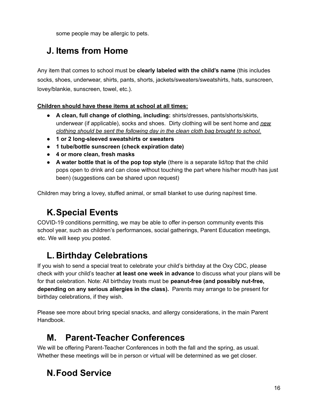some people may be allergic to pets.

# **J. Items from Home**

Any item that comes to school must be **clearly labeled with the child's name** (this includes socks, shoes, underwear, shirts, pants, shorts, jackets/sweaters/sweatshirts, hats, sunscreen, lovey/blankie, sunscreen, towel, etc.).

## **Children should have these items at school at all times:**

- **● A clean, full change of clothing, including:** shirts/dresses, pants/shorts/skirts, underwear (if applicable), socks and shoes. Dirty clothing will be sent home and *new clothing should be sent the following day in the clean cloth bag brought to school.*
- **● 1 or 2 long-sleeved sweatshirts or sweaters**
- **● 1 tube/bottle sunscreen (check expiration date)**
- **● 4 or more clean, fresh masks**
- **● A water bottle that is of the pop top style** (there is a separate lid/top that the child pops open to drink and can close without touching the part where his/her mouth has just been) (suggestions can be shared upon request)

Children may bring a lovey, stuffed animal, or small blanket to use during nap/rest time.

# **K.Special Events**

COVID-19 conditions permitting, we may be able to offer in-person community events this school year, such as children's performances, social gatherings, Parent Education meetings, etc. We will keep you posted.

# **L. Birthday Celebrations**

If you wish to send a special treat to celebrate your child's birthday at the Oxy CDC, please check with your child's teacher **at least one week in advance** to discuss what your plans will be for that celebration. Note: All birthday treats must be **peanut-free (and possibly nut-free, depending on any serious allergies in the class).** Parents may arrange to be present for birthday celebrations, if they wish.

Please see more about bring special snacks, and allergy considerations, in the main Parent Handbook.

# **M. Parent-Teacher Conferences**

We will be offering Parent-Teacher Conferences in both the fall and the spring, as usual. Whether these meetings will be in person or virtual will be determined as we get closer.

# **N.Food Service**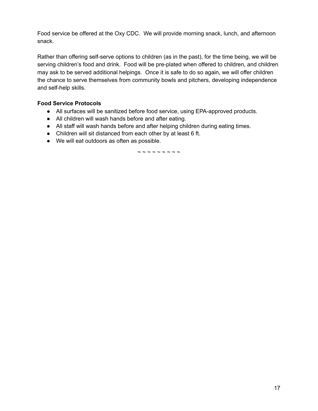Food service be offered at the Oxy CDC. We will provide morning snack, lunch, and afternoon snack.

Rather than offering self-serve options to children (as in the past), for the time being, we will be serving children's food and drink. Food will be pre-plated when offered to children, and children may ask to be served additional helpings. Once it is safe to do so again, we will offer children the chance to serve themselves from community bowls and pitchers, developing independence and self-help skills.

#### **Food Service Protocols**

- All surfaces will be sanitized before food service, using EPA-approved products.
- All children will wash hands before and after eating.
- All staff will wash hands before and after helping children during eating times.
- Children will sit distanced from each other by at least 6 ft.
- We will eat outdoors as often as possible.

 $\sim$   $\sim$   $\sim$   $\sim$   $\sim$   $\sim$   $\sim$   $\sim$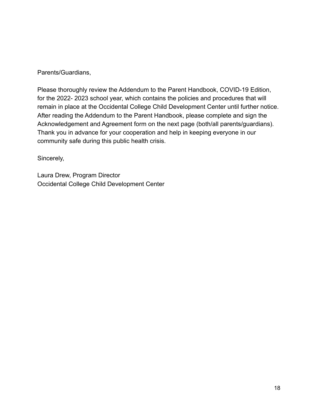Parents/Guardians,

Please thoroughly review the Addendum to the Parent Handbook, COVID-19 Edition, for the 2022- 2023 school year, which contains the policies and procedures that will remain in place at the Occidental College Child Development Center until further notice. After reading the Addendum to the Parent Handbook, please complete and sign the Acknowledgement and Agreement form on the next page (both/all parents/guardians). Thank you in advance for your cooperation and help in keeping everyone in our community safe during this public health crisis.

Sincerely,

Laura Drew, Program Director Occidental College Child Development Center